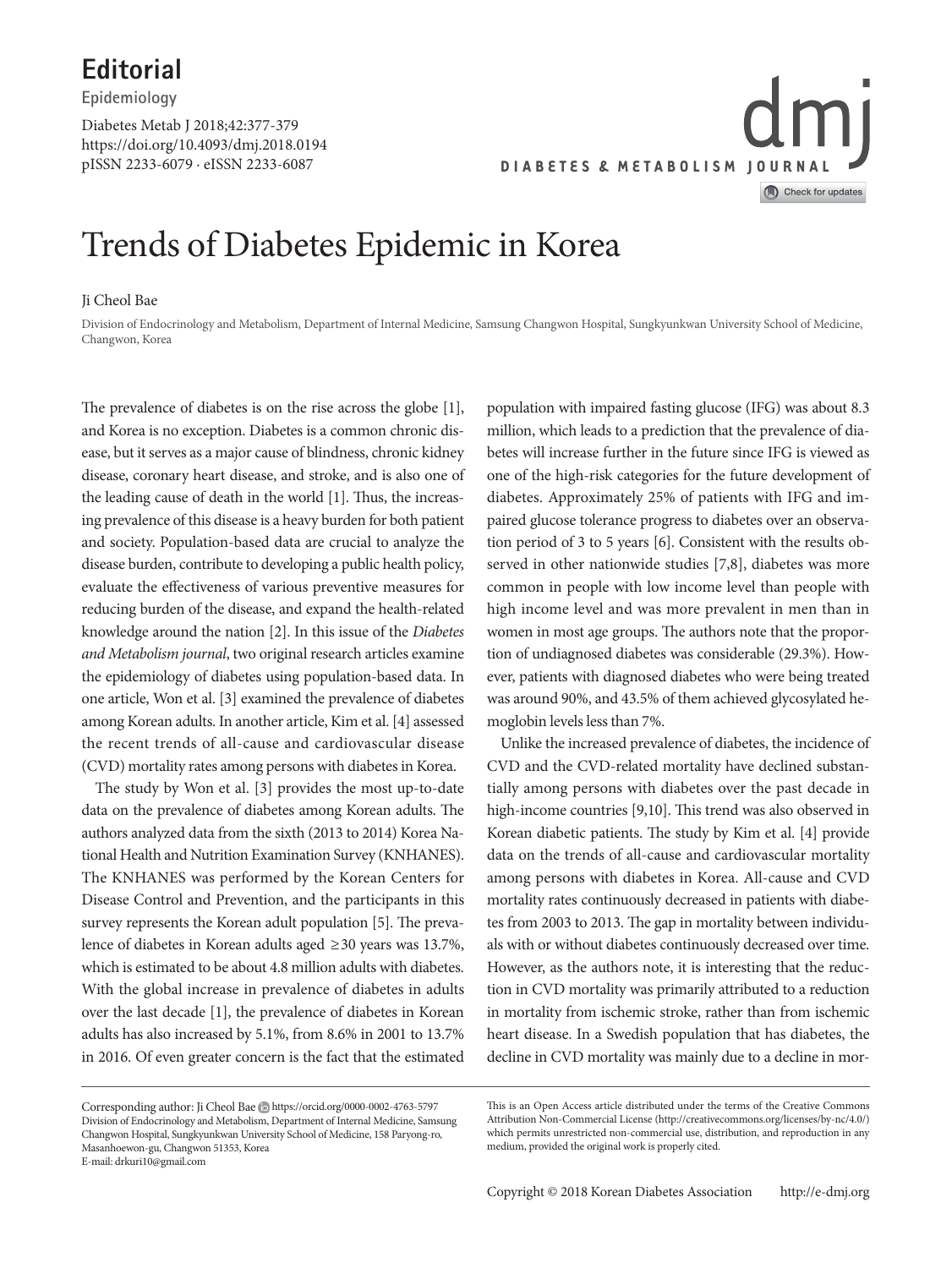**Editorial Epidemiology**

https://doi.org/10.4093/dmj.2018.0194 pISSN 2233-6079 · eISSN 2233-6087 Diabetes Metab J 2018;42:377-379



# Trends of Diabetes Epidemic in Korea

### Ji Cheol Bae

Division of Endocrinology and Metabolism, Department of Internal Medicine, Samsung Changwon Hospital, Sungkyunkwan University School of Medicine, Changwon, Korea

The prevalence of diabetes is on the rise across the globe [1], and Korea is no exception. Diabetes is a common chronic disease, but it serves as a major cause of blindness, chronic kidney disease, coronary heart disease, and stroke, and is also one of the leading cause of death in the world [1]. Thus, the increasing prevalence of this disease is a heavy burden for both patient and society. Population-based data are crucial to analyze the disease burden, contribute to developing a public health policy, evaluate the effectiveness of various preventive measures for reducing burden of the disease, and expand the health-related knowledge around the nation [2]. In this issue of the *Diabetes and Metabolism journal*, two original research articles examine the epidemiology of diabetes using population-based data. In one article, Won et al. [3] examined the prevalence of diabetes among Korean adults. In another article, Kim et al. [4] assessed the recent trends of all-cause and cardiovascular disease (CVD) mortality rates among persons with diabetes in Korea.

The study by Won et al. [3] provides the most up-to-date data on the prevalence of diabetes among Korean adults. The authors analyzed data from the sixth (2013 to 2014) Korea National Health and Nutrition Examination Survey (KNHANES). The KNHANES was performed by the Korean Centers for Disease Control and Prevention, and the participants in this survey represents the Korean adult population [5]. The prevalence of diabetes in Korean adults aged ≥30 years was 13.7%, which is estimated to be about 4.8 million adults with diabetes. With the global increase in prevalence of diabetes in adults over the last decade [1], the prevalence of diabetes in Korean adults has also increased by 5.1%, from 8.6% in 2001 to 13.7% in 2016. Of even greater concern is the fact that the estimated

Corresponding author: Ji Cheol Bae https://orcid.org/0000-0002-4763-5797 Division of Endocrinology and Metabolism, Department of Internal Medicine, Samsung Changwon Hospital, Sungkyunkwan University School of Medicine, 158 Paryong-ro, Masanhoewon-gu, Changwon 51353, Korea E-mail: drkuri10@gmail.com

population with impaired fasting glucose (IFG) was about 8.3 million, which leads to a prediction that the prevalence of diabetes will increase further in the future since IFG is viewed as one of the high-risk categories for the future development of diabetes. Approximately 25% of patients with IFG and impaired glucose tolerance progress to diabetes over an observation period of 3 to 5 years [6]. Consistent with the results observed in other nationwide studies [7,8], diabetes was more common in people with low income level than people with high income level and was more prevalent in men than in women in most age groups. The authors note that the proportion of undiagnosed diabetes was considerable (29.3%). However, patients with diagnosed diabetes who were being treated was around 90%, and 43.5% of them achieved glycosylated hemoglobin levels less than 7%.

Unlike the increased prevalence of diabetes, the incidence of CVD and the CVD-related mortality have declined substantially among persons with diabetes over the past decade in high-income countries [9,10]. This trend was also observed in Korean diabetic patients. The study by Kim et al. [4] provide data on the trends of all-cause and cardiovascular mortality among persons with diabetes in Korea. All-cause and CVD mortality rates continuously decreased in patients with diabetes from 2003 to 2013. The gap in mortality between individuals with or without diabetes continuously decreased over time. However, as the authors note, it is interesting that the reduction in CVD mortality was primarily attributed to a reduction in mortality from ischemic stroke, rather than from ischemic heart disease. In a Swedish population that has diabetes, the decline in CVD mortality was mainly due to a decline in mor-

This is an Open Access article distributed under the terms of the Creative Commons Attribution Non-Commercial License (http://creativecommons.org/licenses/by-nc/4.0/) which permits unrestricted non-commercial use, distribution, and reproduction in any medium, provided the original work is properly cited.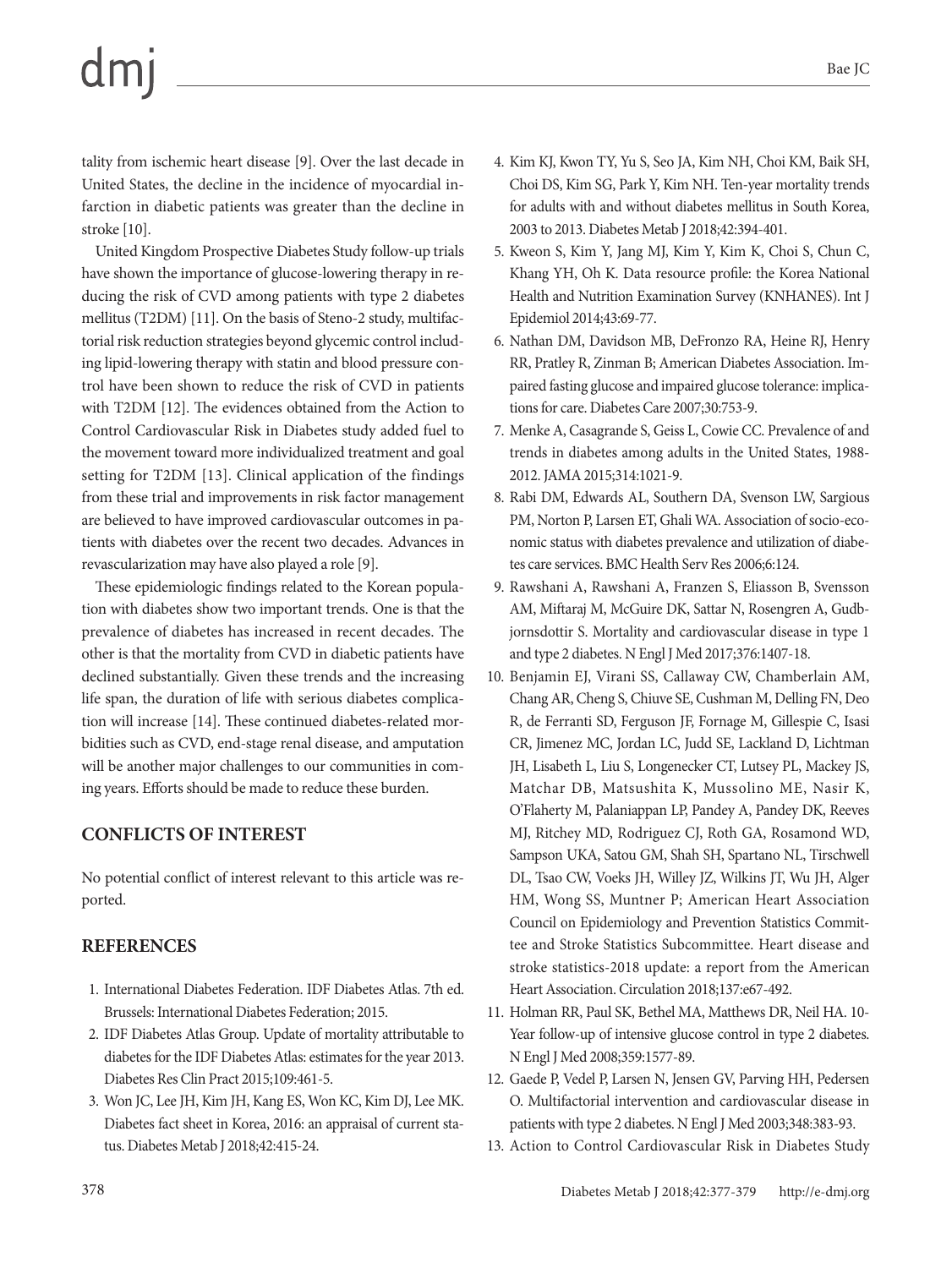### Bae JC

tality from ischemic heart disease [9]. Over the last decade in United States, the decline in the incidence of myocardial infarction in diabetic patients was greater than the decline in stroke [10].

United Kingdom Prospective Diabetes Study follow-up trials have shown the importance of glucose-lowering therapy in reducing the risk of CVD among patients with type 2 diabetes mellitus (T2DM) [11]. On the basis of Steno-2 study, multifactorial risk reduction strategies beyond glycemic control including lipid-lowering therapy with statin and blood pressure control have been shown to reduce the risk of CVD in patients with T2DM [12]. The evidences obtained from the Action to Control Cardiovascular Risk in Diabetes study added fuel to the movement toward more individualized treatment and goal setting for T2DM [13]. Clinical application of the findings from these trial and improvements in risk factor management are believed to have improved cardiovascular outcomes in patients with diabetes over the recent two decades. Advances in revascularization may have also played a role [9].

These epidemiologic findings related to the Korean population with diabetes show two important trends. One is that the prevalence of diabetes has increased in recent decades. The other is that the mortality from CVD in diabetic patients have declined substantially. Given these trends and the increasing life span, the duration of life with serious diabetes complication will increase [14]. These continued diabetes-related morbidities such as CVD, end-stage renal disease, and amputation will be another major challenges to our communities in coming years. Efforts should be made to reduce these burden.

# **CONFLICTS OF INTEREST**

No potential conflict of interest relevant to this article was reported.

# **REFERENCES**

- 1. International Diabetes Federation. IDF Diabetes Atlas. 7th ed. Brussels: International Diabetes Federation; 2015.
- 2. IDF Diabetes Atlas Group. Update of mortality attributable to diabetes for the IDF Diabetes Atlas: estimates for the year 2013. Diabetes Res Clin Pract 2015;109:461-5.
- 3. Won JC, Lee JH, Kim JH, Kang ES, Won KC, Kim DJ, Lee MK. Diabetes fact sheet in Korea, 2016: an appraisal of current status. Diabetes Metab J 2018;42:415-24.
- 4. Kim KJ, Kwon TY, Yu S, Seo JA, Kim NH, Choi KM, Baik SH, Choi DS, Kim SG, Park Y, Kim NH. Ten-year mortality trends for adults with and without diabetes mellitus in South Korea, 2003 to 2013. Diabetes Metab J 2018;42:394-401.
- 5. Kweon S, Kim Y, Jang MJ, Kim Y, Kim K, Choi S, Chun C, Khang YH, Oh K. Data resource profile: the Korea National Health and Nutrition Examination Survey (KNHANES). Int J Epidemiol 2014;43:69-77.
- 6. Nathan DM, Davidson MB, DeFronzo RA, Heine RJ, Henry RR, Pratley R, Zinman B; American Diabetes Association. Impaired fasting glucose and impaired glucose tolerance: implications for care. Diabetes Care 2007;30:753-9.
- 7. Menke A, Casagrande S, Geiss L, Cowie CC. Prevalence of and trends in diabetes among adults in the United States, 1988- 2012. JAMA 2015;314:1021-9.
- 8. Rabi DM, Edwards AL, Southern DA, Svenson LW, Sargious PM, Norton P, Larsen ET, Ghali WA. Association of socio-economic status with diabetes prevalence and utilization of diabetes care services. BMC Health Serv Res 2006;6:124.
- 9. Rawshani A, Rawshani A, Franzen S, Eliasson B, Svensson AM, Miftaraj M, McGuire DK, Sattar N, Rosengren A, Gudbjornsdottir S. Mortality and cardiovascular disease in type 1 and type 2 diabetes. N Engl J Med 2017;376:1407-18.
- 10. Benjamin EJ, Virani SS, Callaway CW, Chamberlain AM, Chang AR, Cheng S, Chiuve SE, Cushman M, Delling FN, Deo R, de Ferranti SD, Ferguson JF, Fornage M, Gillespie C, Isasi CR, Jimenez MC, Jordan LC, Judd SE, Lackland D, Lichtman JH, Lisabeth L, Liu S, Longenecker CT, Lutsey PL, Mackey JS, Matchar DB, Matsushita K, Mussolino ME, Nasir K, O'Flaherty M, Palaniappan LP, Pandey A, Pandey DK, Reeves MJ, Ritchey MD, Rodriguez CJ, Roth GA, Rosamond WD, Sampson UKA, Satou GM, Shah SH, Spartano NL, Tirschwell DL, Tsao CW, Voeks JH, Willey JZ, Wilkins JT, Wu JH, Alger HM, Wong SS, Muntner P; American Heart Association Council on Epidemiology and Prevention Statistics Committee and Stroke Statistics Subcommittee. Heart disease and stroke statistics-2018 update: a report from the American Heart Association. Circulation 2018;137:e67-492.
- 11. Holman RR, Paul SK, Bethel MA, Matthews DR, Neil HA. 10- Year follow-up of intensive glucose control in type 2 diabetes. N Engl J Med 2008;359:1577-89.
- 12. Gaede P, Vedel P, Larsen N, Jensen GV, Parving HH, Pedersen O. Multifactorial intervention and cardiovascular disease in patients with type 2 diabetes. N Engl J Med 2003;348:383-93.
- 13. Action to Control Cardiovascular Risk in Diabetes Study